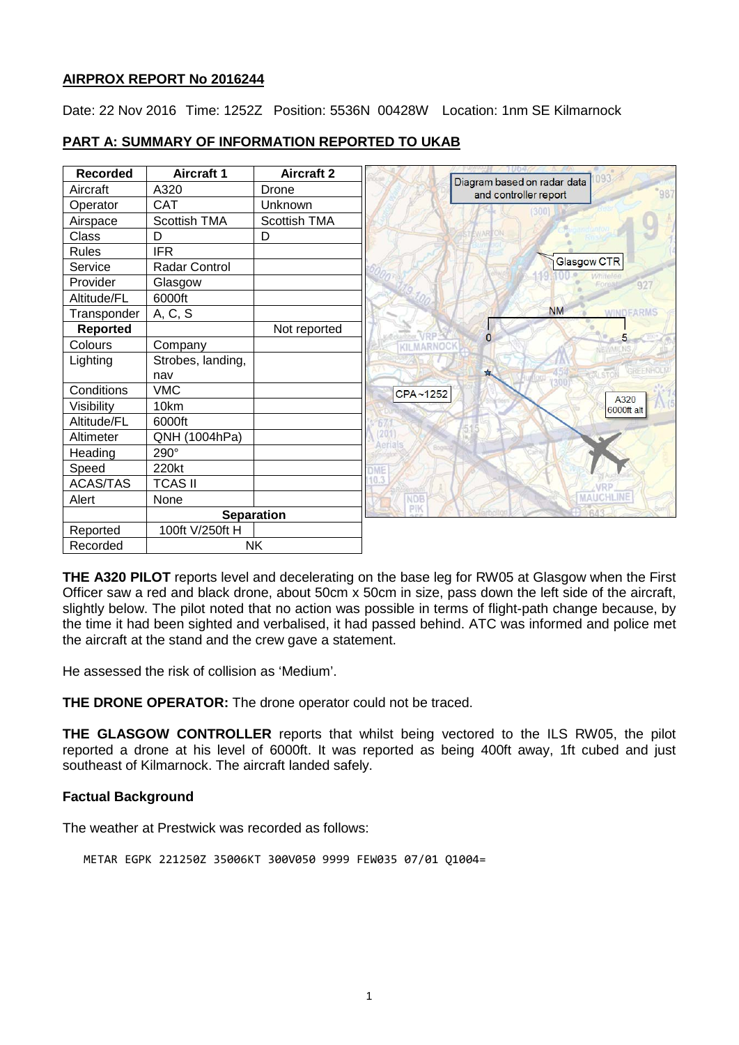# **AIRPROX REPORT No 2016244**

Date: 22 Nov 2016 Time: 1252Z Position: 5536N 00428W Location: 1nm SE Kilmarnock

| <b>Recorded</b> | <b>Aircraft 1</b>   | <b>Aircraft 2</b>   | 093                                                  |
|-----------------|---------------------|---------------------|------------------------------------------------------|
| Aircraft        | A320                | Drone               | Diagram based on radar data<br>and controller report |
| Operator        | <b>CAT</b>          | Unknown             | (300)                                                |
| Airspace        | <b>Scottish TMA</b> | <b>Scottish TMA</b> |                                                      |
| Class           | D                   | D                   |                                                      |
| <b>Rules</b>    | <b>IFR</b>          |                     |                                                      |
| Service         | Radar Control       |                     | Glasgow CTR                                          |
| Provider        | Glasgow             |                     | 927                                                  |
| Altitude/FL     | 6000ft              |                     |                                                      |
| Transponder     | A, C, S             |                     | <b>NM</b><br><b>WINDEARMS</b>                        |
| <b>Reported</b> |                     | Not reported        | $\overline{0}$<br><b>Antiber VRP</b><br>5            |
| Colours         | Company             |                     | <b>KILMARNOCK</b>                                    |
| Lighting        | Strobes, landing,   |                     |                                                      |
|                 | nav                 |                     | 本                                                    |
| Conditions      | <b>VMC</b>          |                     | CPA~1252<br>A320                                     |
| Visibility      | 10km                |                     | 6000ft alt                                           |
| Altitude/FL     | 6000ft              |                     |                                                      |
| Altimeter       | QNH (1004hPa)       |                     | 201<br>Aerials                                       |
| Heading         | 290°                |                     |                                                      |
| Speed           | 220kt               |                     | OME                                                  |
| <b>ACAS/TAS</b> | <b>TCAS II</b>      |                     |                                                      |
| Alert           | None                |                     | <b>MAUCHLINE</b><br><b>NDB</b>                       |
|                 | <b>Separation</b>   |                     | PIK                                                  |
| Reported        | 100ft V/250ft H     |                     |                                                      |
| Recorded        | <b>NK</b>           |                     |                                                      |

# **PART A: SUMMARY OF INFORMATION REPORTED TO UKAB**

**THE A320 PILOT** reports level and decelerating on the base leg for RW05 at Glasgow when the First Officer saw a red and black drone, about 50cm x 50cm in size, pass down the left side of the aircraft, slightly below. The pilot noted that no action was possible in terms of flight-path change because, by the time it had been sighted and verbalised, it had passed behind. ATC was informed and police met the aircraft at the stand and the crew gave a statement.

He assessed the risk of collision as 'Medium'.

**THE DRONE OPERATOR:** The drone operator could not be traced.

**THE GLASGOW CONTROLLER** reports that whilst being vectored to the ILS RW05, the pilot reported a drone at his level of 6000ft. It was reported as being 400ft away, 1ft cubed and just southeast of Kilmarnock. The aircraft landed safely.

# **Factual Background**

The weather at Prestwick was recorded as follows:

METAR EGPK 221250Z 35006KT 300V050 9999 FEW035 07/01 Q1004=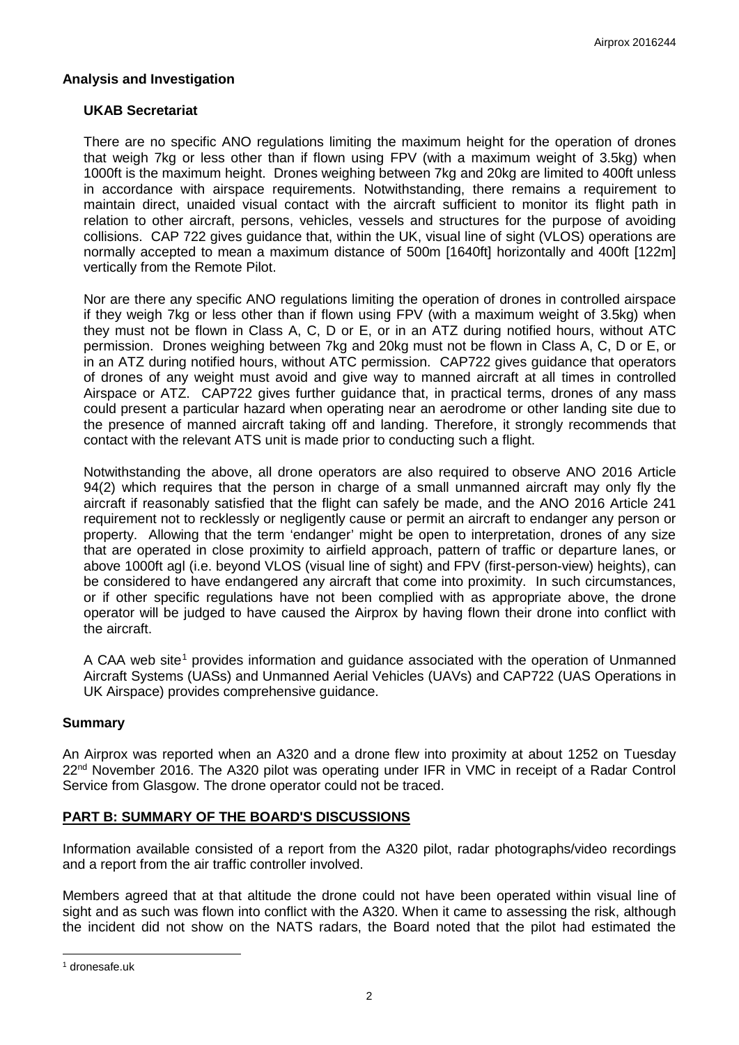### **Analysis and Investigation**

### **UKAB Secretariat**

There are no specific ANO regulations limiting the maximum height for the operation of drones that weigh 7kg or less other than if flown using FPV (with a maximum weight of 3.5kg) when 1000ft is the maximum height. Drones weighing between 7kg and 20kg are limited to 400ft unless in accordance with airspace requirements. Notwithstanding, there remains a requirement to maintain direct, unaided visual contact with the aircraft sufficient to monitor its flight path in relation to other aircraft, persons, vehicles, vessels and structures for the purpose of avoiding collisions. CAP 722 gives guidance that, within the UK, visual line of sight (VLOS) operations are normally accepted to mean a maximum distance of 500m [1640ft] horizontally and 400ft [122m] vertically from the Remote Pilot.

Nor are there any specific ANO regulations limiting the operation of drones in controlled airspace if they weigh 7kg or less other than if flown using FPV (with a maximum weight of 3.5kg) when they must not be flown in Class A, C, D or E, or in an ATZ during notified hours, without ATC permission. Drones weighing between 7kg and 20kg must not be flown in Class A, C, D or E, or in an ATZ during notified hours, without ATC permission. CAP722 gives guidance that operators of drones of any weight must avoid and give way to manned aircraft at all times in controlled Airspace or ATZ. CAP722 gives further guidance that, in practical terms, drones of any mass could present a particular hazard when operating near an aerodrome or other landing site due to the presence of manned aircraft taking off and landing. Therefore, it strongly recommends that contact with the relevant ATS unit is made prior to conducting such a flight.

Notwithstanding the above, all drone operators are also required to observe ANO 2016 Article 94(2) which requires that the person in charge of a small unmanned aircraft may only fly the aircraft if reasonably satisfied that the flight can safely be made, and the ANO 2016 Article 241 requirement not to recklessly or negligently cause or permit an aircraft to endanger any person or property. Allowing that the term 'endanger' might be open to interpretation, drones of any size that are operated in close proximity to airfield approach, pattern of traffic or departure lanes, or above 1000ft agl (i.e. beyond VLOS (visual line of sight) and FPV (first-person-view) heights), can be considered to have endangered any aircraft that come into proximity. In such circumstances, or if other specific regulations have not been complied with as appropriate above, the drone operator will be judged to have caused the Airprox by having flown their drone into conflict with the aircraft.

A CAA web site<sup>[1](#page-1-0)</sup> provides information and guidance associated with the operation of Unmanned Aircraft Systems (UASs) and Unmanned Aerial Vehicles (UAVs) and CAP722 (UAS Operations in UK Airspace) provides comprehensive guidance.

#### **Summary**

An Airprox was reported when an A320 and a drone flew into proximity at about 1252 on Tuesday 22<sup>nd</sup> November 2016. The A320 pilot was operating under IFR in VMC in receipt of a Radar Control Service from Glasgow. The drone operator could not be traced.

# **PART B: SUMMARY OF THE BOARD'S DISCUSSIONS**

Information available consisted of a report from the A320 pilot, radar photographs/video recordings and a report from the air traffic controller involved.

Members agreed that at that altitude the drone could not have been operated within visual line of sight and as such was flown into conflict with the A320. When it came to assessing the risk, although the incident did not show on the NATS radars, the Board noted that the pilot had estimated the

 $\overline{\phantom{a}}$ 

<span id="page-1-0"></span><sup>1</sup> dronesafe.uk